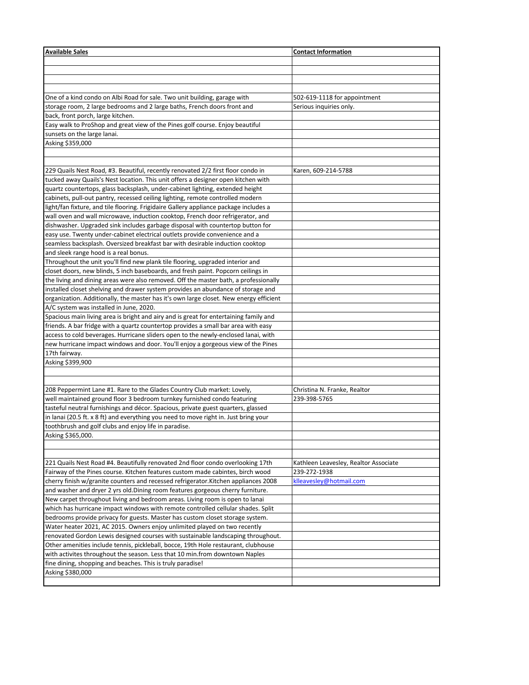| <b>Available Sales</b>                                                                                                                                                 | <b>Contact Information</b>            |
|------------------------------------------------------------------------------------------------------------------------------------------------------------------------|---------------------------------------|
|                                                                                                                                                                        |                                       |
|                                                                                                                                                                        |                                       |
|                                                                                                                                                                        |                                       |
|                                                                                                                                                                        |                                       |
| One of a kind condo on Albi Road for sale. Two unit building, garage with                                                                                              | 502-619-1118 for appointment          |
| storage room, 2 large bedrooms and 2 large baths, French doors front and                                                                                               | Serious inquiries only.               |
| back, front porch, large kitchen.                                                                                                                                      |                                       |
| Easy walk to ProShop and great view of the Pines golf course. Enjoy beautiful                                                                                          |                                       |
| sunsets on the large lanai.                                                                                                                                            |                                       |
| Asking \$359,000                                                                                                                                                       |                                       |
|                                                                                                                                                                        |                                       |
|                                                                                                                                                                        |                                       |
| 229 Quails Nest Road, #3. Beautiful, recently renovated 2/2 first floor condo in                                                                                       | Karen, 609-214-5788                   |
| tucked away Quails's Nest location. This unit offers a designer open kitchen with                                                                                      |                                       |
| quartz countertops, glass backsplash, under-cabinet lighting, extended height                                                                                          |                                       |
| cabinets, pull-out pantry, recessed ceiling lighting, remote controlled modern                                                                                         |                                       |
| light/fan fixture, and tile flooring. Frigidaire Gallery appliance package includes a                                                                                  |                                       |
| wall oven and wall microwave, induction cooktop, French door refrigerator, and                                                                                         |                                       |
| dishwasher. Upgraded sink includes garbage disposal with countertop button for                                                                                         |                                       |
| easy use. Twenty under-cabinet electrical outlets provide convenience and a                                                                                            |                                       |
| seamless backsplash. Oversized breakfast bar with desirable induction cooktop                                                                                          |                                       |
| and sleek range hood is a real bonus.                                                                                                                                  |                                       |
| Throughout the unit you'll find new plank tile flooring, upgraded interior and                                                                                         |                                       |
| closet doors, new blinds, 5 inch baseboards, and fresh paint. Popcorn ceilings in                                                                                      |                                       |
| the living and dining areas were also removed. Off the master bath, a professionally                                                                                   |                                       |
| installed closet shelving and drawer system provides an abundance of storage and                                                                                       |                                       |
| organization. Additionally, the master has it's own large closet. New energy efficient                                                                                 |                                       |
| A/C system was installed in June, 2020.                                                                                                                                |                                       |
| Spacious main living area is bright and airy and is great for entertaining family and                                                                                  |                                       |
| friends. A bar fridge with a quartz countertop provides a small bar area with easy                                                                                     |                                       |
|                                                                                                                                                                        |                                       |
| access to cold beverages. Hurricane sliders open to the newly-enclosed lanai, with<br>new hurricane impact windows and door. You'll enjoy a gorgeous view of the Pines |                                       |
| 17th fairway.                                                                                                                                                          |                                       |
|                                                                                                                                                                        |                                       |
| Asking \$399,900                                                                                                                                                       |                                       |
|                                                                                                                                                                        |                                       |
| 208 Peppermint Lane #1. Rare to the Glades Country Club market: Lovely,                                                                                                | Christina N. Franke, Realtor          |
| well maintained ground floor 3 bedroom turnkey furnished condo featuring                                                                                               | 239-398-5765                          |
| tasteful neutral furnishings and décor. Spacious, private guest quarters, glassed                                                                                      |                                       |
| in lanai (20.5 ft. x 8 ft) and everything you need to move right in. Just bring your                                                                                   |                                       |
| toothbrush and golf clubs and enjoy life in paradise.                                                                                                                  |                                       |
| Asking \$365,000.                                                                                                                                                      |                                       |
|                                                                                                                                                                        |                                       |
|                                                                                                                                                                        |                                       |
| 221 Quails Nest Road #4. Beautifully renovated 2nd floor condo overlooking 17th                                                                                        | Kathleen Leavesley, Realtor Associate |
| Fairway of the Pines course. Kitchen features custom made cabintes, birch wood                                                                                         | 239-272-1938                          |
| cherry finish w/granite counters and recessed refrigerator. Kitchen appliances 2008                                                                                    | klleavesley@hotmail.com               |
| and washer and dryer 2 yrs old. Dining room features gorgeous cherry furniture.                                                                                        |                                       |
|                                                                                                                                                                        |                                       |
| New carpet throughout living and bedroom areas. Living room is open to lanai                                                                                           |                                       |
| which has hurricane impact windows with remote controlled cellular shades. Split                                                                                       |                                       |
| bedrooms provide privacy for guests. Master has custom closet storage system.                                                                                          |                                       |
| Water heater 2021, AC 2015. Owners enjoy unlimited played on two recently                                                                                              |                                       |
| renovated Gordon Lewis designed courses with sustainable landscaping throughout.                                                                                       |                                       |
| Other amenities include tennis, pickleball, bocce, 19th Hole restaurant, clubhouse                                                                                     |                                       |
| with activites throughout the season. Less that 10 min.from downtown Naples                                                                                            |                                       |
| fine dining, shopping and beaches. This is truly paradise!                                                                                                             |                                       |
| Asking \$380,000                                                                                                                                                       |                                       |
|                                                                                                                                                                        |                                       |